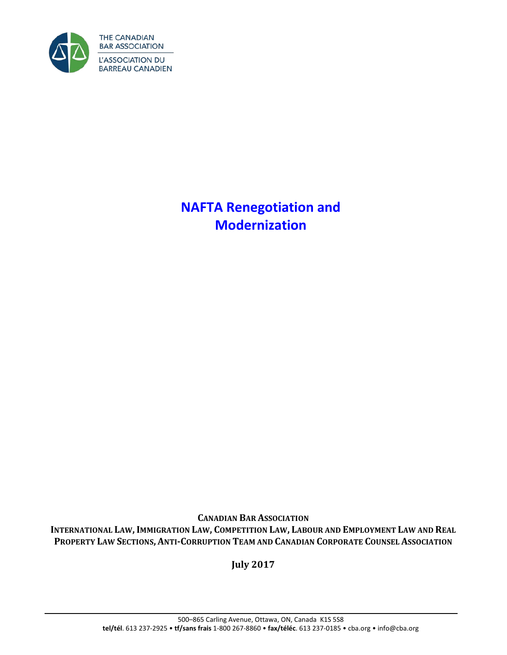

**NAFTA Renegotiation and Modernization**

**CANADIAN BAR ASSOCIATION INTERNATIONAL LAW,IMMIGRATION LAW, COMPETITION LAW, LABOUR AND EMPLOYMENT LAW AND REAL PROPERTY LAW SECTIONS, ANTI-CORRUPTION TEAM AND CANADIAN CORPORATE COUNSEL ASSOCIATION**

**July 2017**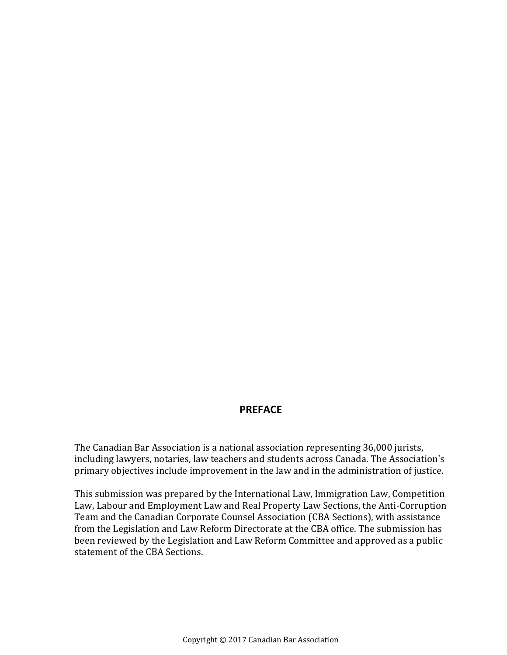### **PREFACE**

The Canadian Bar Association is a national association representing 36,000 jurists, including lawyers, notaries, law teachers and students across Canada. The Association's primary objectives include improvement in the law and in the administration of justice.

This submission was prepared by the International Law, Immigration Law, Competition Law, Labour and Employment Law and Real Property Law Sections, the Anti-Corruption Team and the Canadian Corporate Counsel Association (CBA Sections), with assistance from the Legislation and Law Reform Directorate at the CBA office. The submission has been reviewed by the Legislation and Law Reform Committee and approved as a public statement of the CBA Sections.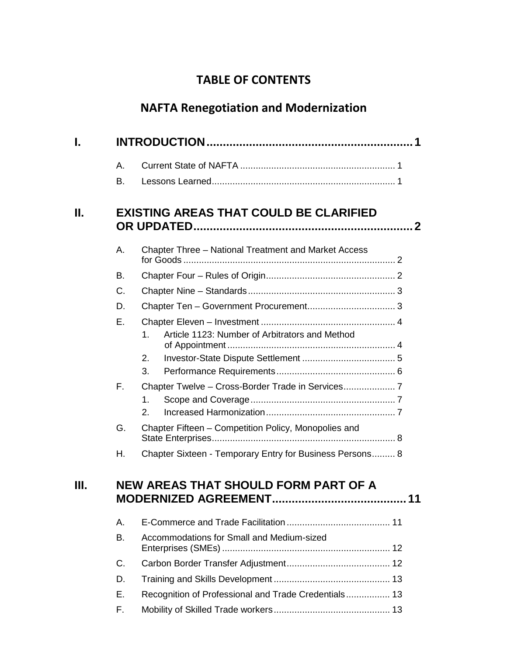# **TABLE OF CONTENTS**

# **NAFTA Renegotiation and Modernization**

| I. |    |                                                          |  |  |  |
|----|----|----------------------------------------------------------|--|--|--|
|    | Α. |                                                          |  |  |  |
|    | В. |                                                          |  |  |  |
| Н. |    | <b>EXISTING AREAS THAT COULD BE CLARIFIED</b>            |  |  |  |
|    | Α. | Chapter Three - National Treatment and Market Access     |  |  |  |
|    | В. |                                                          |  |  |  |
|    | C. |                                                          |  |  |  |
|    | D. |                                                          |  |  |  |
|    | Ε. | Article 1123: Number of Arbitrators and Method<br>1.     |  |  |  |
|    |    | 2.<br>3.                                                 |  |  |  |
|    | F. | 1.<br>2.                                                 |  |  |  |
|    | G. | Chapter Fifteen - Competition Policy, Monopolies and     |  |  |  |
|    | Н. | Chapter Sixteen - Temporary Entry for Business Persons 8 |  |  |  |
| Ш. |    | NEW AREAS THAT SHOULD FORM PART OF A                     |  |  |  |
|    | Α. |                                                          |  |  |  |
|    | B. | Accommodations for Small and Medium-sized                |  |  |  |
|    | C. |                                                          |  |  |  |
|    | D. |                                                          |  |  |  |
|    | Ε. | Recognition of Professional and Trade Credentials 13     |  |  |  |
|    | F. |                                                          |  |  |  |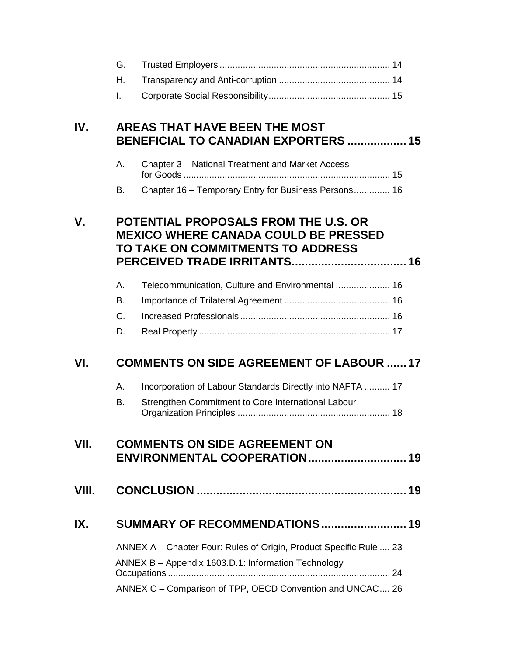|       | G.                                                                 |                                                                                                                          |  |  |  |
|-------|--------------------------------------------------------------------|--------------------------------------------------------------------------------------------------------------------------|--|--|--|
|       | Η.                                                                 |                                                                                                                          |  |  |  |
|       | $\mathbf{L}$                                                       |                                                                                                                          |  |  |  |
| IV.   |                                                                    | <b>AREAS THAT HAVE BEEN THE MOST</b><br><b>BENEFICIAL TO CANADIAN EXPORTERS  15</b>                                      |  |  |  |
|       | Α.                                                                 | Chapter 3 - National Treatment and Market Access                                                                         |  |  |  |
|       | В.                                                                 | Chapter 16 - Temporary Entry for Business Persons 16                                                                     |  |  |  |
| V.    |                                                                    | POTENTIAL PROPOSALS FROM THE U.S. OR<br><b>MEXICO WHERE CANADA COULD BE PRESSED</b><br>TO TAKE ON COMMITMENTS TO ADDRESS |  |  |  |
|       | Α.                                                                 | Telecommunication, Culture and Environmental  16                                                                         |  |  |  |
|       | В.                                                                 |                                                                                                                          |  |  |  |
|       | C.                                                                 |                                                                                                                          |  |  |  |
|       | D.                                                                 |                                                                                                                          |  |  |  |
| VI.   | <b>COMMENTS ON SIDE AGREEMENT OF LABOUR  17</b>                    |                                                                                                                          |  |  |  |
|       | Α.                                                                 | Incorporation of Labour Standards Directly into NAFTA  17                                                                |  |  |  |
|       | B.                                                                 | Strengthen Commitment to Core International Labour                                                                       |  |  |  |
| VII.  |                                                                    | <b>COMMENTS ON SIDE AGREEMENT ON</b>                                                                                     |  |  |  |
| VIII. |                                                                    |                                                                                                                          |  |  |  |
| IX.   | SUMMARY OF RECOMMENDATIONS 19                                      |                                                                                                                          |  |  |  |
|       | ANNEX A – Chapter Four: Rules of Origin, Product Specific Rule  23 |                                                                                                                          |  |  |  |
|       |                                                                    | ANNEX B - Appendix 1603.D.1: Information Technology                                                                      |  |  |  |
|       |                                                                    | ANNEX C - Comparison of TPP, OECD Convention and UNCAC 26                                                                |  |  |  |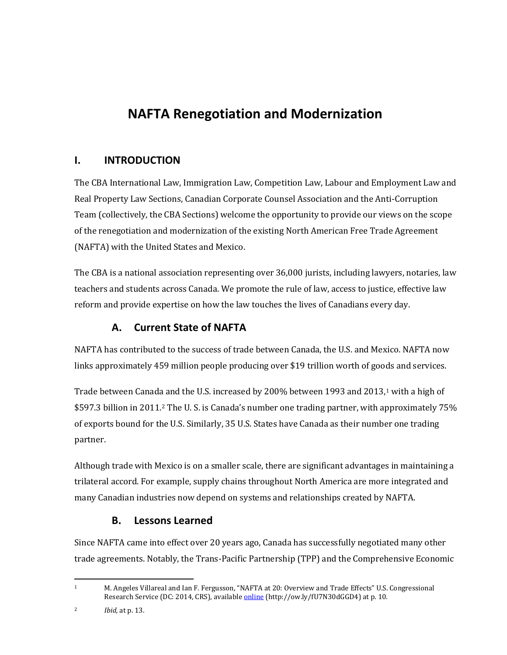# **NAFTA Renegotiation and Modernization**

# <span id="page-4-0"></span>**I. INTRODUCTION**

The CBA International Law, Immigration Law, Competition Law, Labour and Employment Law and Real Property Law Sections, Canadian Corporate Counsel Association and the Anti-Corruption Team (collectively, the CBA Sections) welcome the opportunity to provide our views on the scope of the renegotiation and modernization of the existing North American Free Trade Agreement (NAFTA) with the United States and Mexico.

The CBA is a national association representing over 36,000 jurists, including lawyers, notaries, law teachers and students across Canada. We promote the rule of law, access to justice, effective law reform and provide expertise on how the law touches the lives of Canadians every day.

# **A. Current State of NAFTA**

<span id="page-4-1"></span>NAFTA has contributed to the success of trade between Canada, the U.S. and Mexico. NAFTA now links approximately 459 million people producing over \$19 trillion worth of goods and services.

Trade between Canada and the U.S. increased by 200% between [1](#page-4-3)993 and 2013,<sup>1</sup> with a high of \$597.3 billion in 2011.[2](#page-4-4) The U. S. is Canada's number one trading partner, with approximately 75% of exports bound for the U.S. Similarly, 35 U.S. States have Canada as their number one trading partner.

Although trade with Mexico is on a smaller scale, there are significant advantages in maintaining a trilateral accord. For example, supply chains throughout North America are more integrated and many Canadian industries now depend on systems and relationships created by NAFTA.

### **B. Lessons Learned**

<span id="page-4-2"></span>Since NAFTA came into effect over 20 years ago, Canada has successfully negotiated many other trade agreements. Notably, the Trans-Pacific Partnership (TPP) and the Comprehensive Economic

<span id="page-4-3"></span> <sup>1</sup> M. Angeles Villareal and Ian F. Fergusson, "NAFTA at 20: Overview and Trade Effects" U.S. Congressional Research Service (DC: 2014, CRS), available **online** (http://ow.ly/fU7N30dGGD4) at p. 10.

<span id="page-4-4"></span><sup>2</sup> *Ibid,* at p. 13.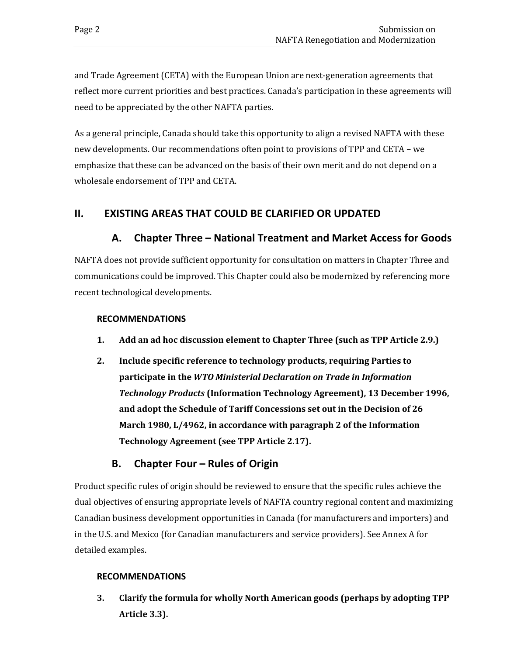and Trade Agreement (CETA) with the European Union are next-generation agreements that reflect more current priorities and best practices. Canada's participation in these agreements will need to be appreciated by the other NAFTA parties.

As a general principle, Canada should take this opportunity to align a revised NAFTA with these new developments. Our recommendations often point to provisions of TPP and CETA – we emphasize that these can be advanced on the basis of their own merit and do not depend on a wholesale endorsement of TPP and CETA.

### <span id="page-5-1"></span><span id="page-5-0"></span>**II. EXISTING AREAS THAT COULD BE CLARIFIED OR UPDATED**

### **A. Chapter Three – National Treatment and Market Access for Goods**

NAFTA does not provide sufficient opportunity for consultation on matters in Chapter Three and communications could be improved. This Chapter could also be modernized by referencing more recent technological developments.

#### **RECOMMENDATIONS**

- **1. Add an ad hoc discussion element to Chapter Three (such as TPP Article 2.9.)**
- **2. Include specific reference to technology products, requiring Parties to participate in the** *WTO Ministerial Declaration on Trade in Information Technology Products* **(Information Technology Agreement), 13 December 1996, and adopt the Schedule of Tariff Concessions set out in the Decision of 26 March 1980, L/4962, in accordance with paragraph 2 of the Information Technology Agreement (see TPP Article 2.17).**

### **B. Chapter Four – Rules of Origin**

<span id="page-5-2"></span>Product specific rules of origin should be reviewed to ensure that the specific rules achieve the dual objectives of ensuring appropriate levels of NAFTA country regional content and maximizing Canadian business development opportunities in Canada (for manufacturers and importers) and in the U.S. and Mexico (for Canadian manufacturers and service providers). See Annex A for detailed examples.

#### **RECOMMENDATIONS**

**3. Clarify the formula for wholly North American goods (perhaps by adopting TPP Article 3.3).**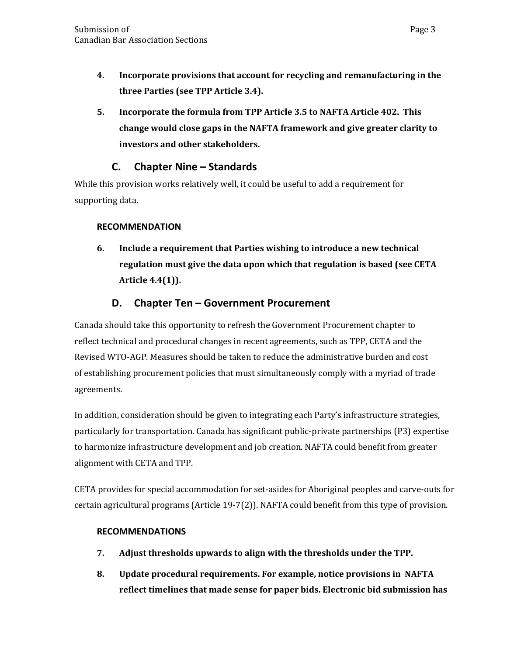- **4. Incorporate provisions that account for recycling and remanufacturing in the three Parties (see TPP Article 3.4).**
- **5. Incorporate the formula from TPP Article 3.5 to NAFTA Article 402. This change would close gaps in the NAFTA framework and give greater clarity to investors and other stakeholders.**

# **C. Chapter Nine – Standards**

<span id="page-6-0"></span>While this provision works relatively well, it could be useful to add a requirement for supporting data.

#### **RECOMMENDATION**

**6. Include a requirement that Parties wishing to introduce a new technical regulation must give the data upon which that regulation is based (see CETA Article 4.4(1)).** 

### **D. Chapter Ten – Government Procurement**

<span id="page-6-1"></span>Canada should take this opportunity to refresh the Government Procurement chapter to reflect technical and procedural changes in recent agreements, such as TPP, CETA and the Revised WTO-AGP. Measures should be taken to reduce the administrative burden and cost of establishing procurement policies that must simultaneously comply with a myriad of trade agreements.

In addition, consideration should be given to integrating each Party's infrastructure strategies, particularly for transportation. Canada has significant public-private partnerships (P3) expertise to harmonize infrastructure development and job creation. NAFTA could benefit from greater alignment with CETA and TPP.

CETA provides for special accommodation for set-asides for Aboriginal peoples and carve-outs for certain agricultural programs (Article 19-7(2)). NAFTA could benefit from this type of provision.

#### **RECOMMENDATIONS**

- **7. Adjust thresholds upwards to align with the thresholds under the TPP.**
- **8. Update procedural requirements. For example, notice provisions in NAFTA reflect timelines that made sense for paper bids. Electronic bid submission has**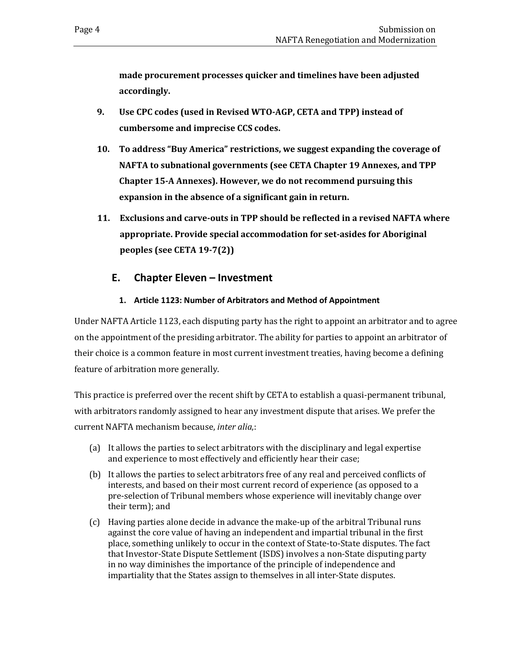**made procurement processes quicker and timelines have been adjusted accordingly.** 

- **9. Use CPC codes (used in Revised WTO-AGP, CETA and TPP) instead of cumbersome and imprecise CCS codes.**
- **10. To address "Buy America" restrictions, we suggest expanding the coverage of NAFTA to subnational governments (see CETA Chapter 19 Annexes, and TPP Chapter 15-A Annexes). However, we do not recommend pursuing this expansion in the absence of a significant gain in return.**
- **11. Exclusions and carve-outs in TPP should be reflected in a revised NAFTA where appropriate. Provide special accommodation for set-asides for Aboriginal peoples (see CETA 19-7(2))**

### <span id="page-7-0"></span>**E. Chapter Eleven – Investment**

#### **1. Article 1123: Number of Arbitrators and Method of Appointment**

<span id="page-7-1"></span>Under NAFTA Article 1123, each disputing party has the right to appoint an arbitrator and to agree on the appointment of the presiding arbitrator. The ability for parties to appoint an arbitrator of their choice is a common feature in most current investment treaties, having become a defining feature of arbitration more generally.

This practice is preferred over the recent shift by CETA to establish a quasi-permanent tribunal, with arbitrators randomly assigned to hear any investment dispute that arises. We prefer the current NAFTA mechanism because, *inter alia*,:

- (a) It allows the parties to select arbitrators with the disciplinary and legal expertise and experience to most effectively and efficiently hear their case;
- (b) It allows the parties to select arbitrators free of any real and perceived conflicts of interests, and based on their most current record of experience (as opposed to a pre-selection of Tribunal members whose experience will inevitably change over their term); and
- (c) Having parties alone decide in advance the make-up of the arbitral Tribunal runs against the core value of having an independent and impartial tribunal in the first place, something unlikely to occur in the context of State-to-State disputes. The fact that Investor-State Dispute Settlement (ISDS) involves a non-State disputing party in no way diminishes the importance of the principle of independence and impartiality that the States assign to themselves in all inter-State disputes.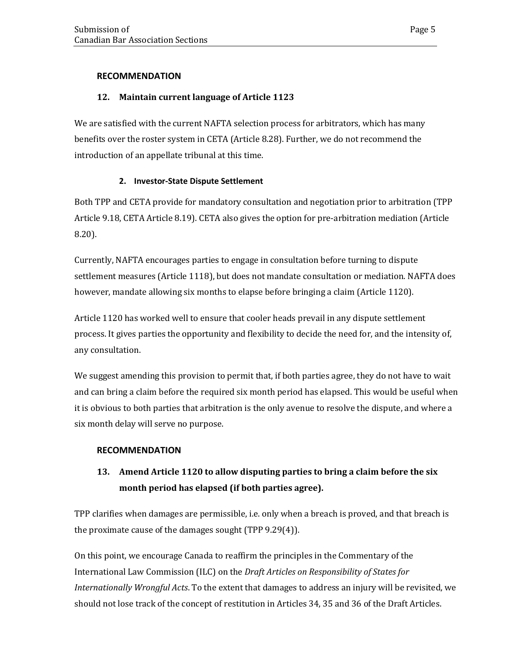#### **RECOMMENDATION**

#### **12. Maintain current language of Article 1123**

We are satisfied with the current NAFTA selection process for arbitrators, which has many benefits over the roster system in CETA (Article 8.28). Further, we do not recommend the introduction of an appellate tribunal at this time.

#### **2. Investor-State Dispute Settlement**

<span id="page-8-0"></span>Both TPP and CETA provide for mandatory consultation and negotiation prior to arbitration (TPP Article 9.18, CETA Article 8.19). CETA also gives the option for pre-arbitration mediation (Article 8.20).

Currently, NAFTA encourages parties to engage in consultation before turning to dispute settlement measures (Article 1118), but does not mandate consultation or mediation. NAFTA does however, mandate allowing six months to elapse before bringing a claim (Article 1120).

Article 1120 has worked well to ensure that cooler heads prevail in any dispute settlement process. It gives parties the opportunity and flexibility to decide the need for, and the intensity of, any consultation.

We suggest amending this provision to permit that, if both parties agree, they do not have to wait and can bring a claim before the required six month period has elapsed. This would be useful when it is obvious to both parties that arbitration is the only avenue to resolve the dispute, and where a six month delay will serve no purpose.

#### **RECOMMENDATION**

# **13. Amend Article 1120 to allow disputing parties to bring a claim before the six month period has elapsed (if both parties agree).**

TPP clarifies when damages are permissible, i.e. only when a breach is proved, and that breach is the proximate cause of the damages sought (TPP 9.29(4)).

On this point, we encourage Canada to reaffirm the principles in the Commentary of the International Law Commission (ILC) on the *Draft Articles on Responsibility of States for Internationally Wrongful Acts*. To the extent that damages to address an injury will be revisited, we should not lose track of the concept of restitution in Articles 34, 35 and 36 of the Draft Articles.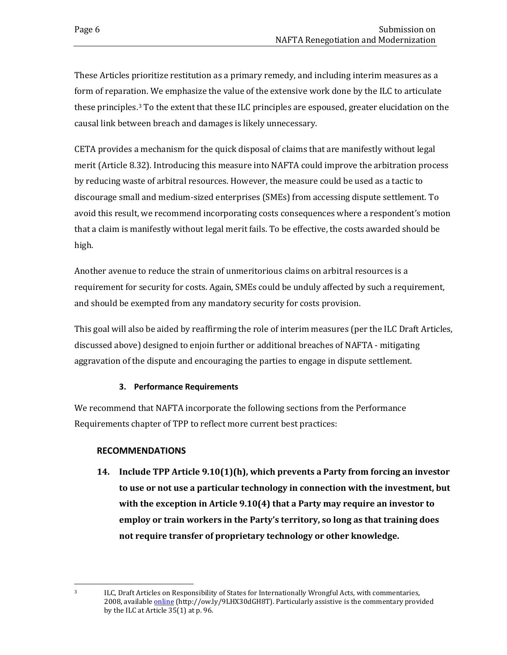These Articles prioritize restitution as a primary remedy, and including interim measures as a form of reparation. We emphasize the value of the extensive work done by the ILC to articulate these principles[.3](#page-9-1) To the extent that these ILC principles are espoused, greater elucidation on the causal link between breach and damages is likely unnecessary.

CETA provides a mechanism for the quick disposal of claims that are manifestly without legal merit (Article 8.32). Introducing this measure into NAFTA could improve the arbitration process by reducing waste of arbitral resources. However, the measure could be used as a tactic to discourage small and medium-sized enterprises (SMEs) from accessing dispute settlement. To avoid this result, we recommend incorporating costs consequences where a respondent's motion that a claim is manifestly without legal merit fails. To be effective, the costs awarded should be high.

Another avenue to reduce the strain of unmeritorious claims on arbitral resources is a requirement for security for costs. Again, SMEs could be unduly affected by such a requirement, and should be exempted from any mandatory security for costs provision.

This goal will also be aided by reaffirming the role of interim measures (per the ILC Draft Articles, discussed above) designed to enjoin further or additional breaches of NAFTA - mitigating aggravation of the dispute and encouraging the parties to engage in dispute settlement.

#### **3. Performance Requirements**

<span id="page-9-0"></span>We recommend that NAFTA incorporate the following sections from the Performance Requirements chapter of TPP to reflect more current best practices:

#### **RECOMMENDATIONS**

**14. Include TPP Article 9.10(1)(h), which prevents a Party from forcing an investor to use or not use a particular technology in connection with the investment, but with the exception in Article 9.10(4) that a Party may require an investor to employ or train workers in the Party's territory, so long as that training does not require transfer of proprietary technology or other knowledge.** 

<span id="page-9-1"></span><sup>&</sup>lt;sup>3</sup> ILC, Draft Articles on Responsibility of States for Internationally Wrongful Acts, with commentaries, 2008, available **online** (http://ow.ly/9LHX30dGH8T). Particularly assistive is the commentary provided by the ILC at Article 35(1) at p. 96.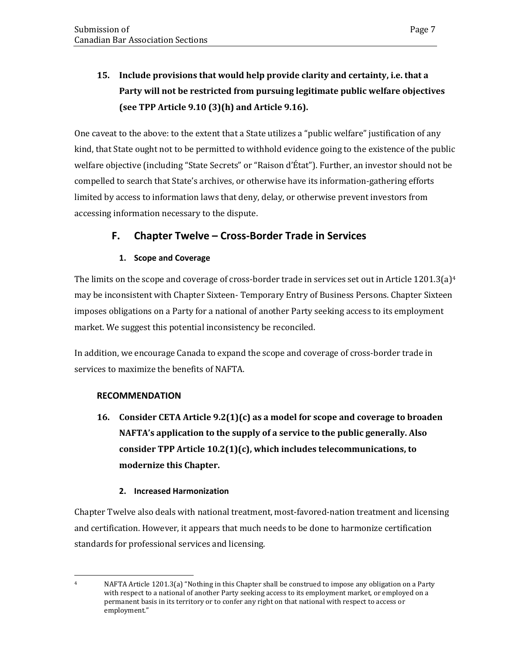# **15. Include provisions that would help provide clarity and certainty, i.e. that a Party will not be restricted from pursuing legitimate public welfare objectives (see TPP Article 9.10 (3)(h) and Article 9.16).**

One caveat to the above: to the extent that a State utilizes a "public welfare" justification of any kind, that State ought not to be permitted to withhold evidence going to the existence of the public welfare objective (including "State Secrets" or "Raison d'État"). Further, an investor should not be compelled to search that State's archives, or otherwise have its information-gathering efforts limited by access to information laws that deny, delay, or otherwise prevent investors from accessing information necessary to the dispute.

### <span id="page-10-0"></span>**F. Chapter Twelve – Cross-Border Trade in Services**

#### **1. Scope and Coverage**

<span id="page-10-1"></span>The limits on the scope and coverage of cross-border trade in services set out in Article 1201.3(a)<sup>[4](#page-10-3)</sup> may be inconsistent with Chapter Sixteen- Temporary Entry of Business Persons. Chapter Sixteen imposes obligations on a Party for a national of another Party seeking access to its employment market. We suggest this potential inconsistency be reconciled.

In addition, we encourage Canada to expand the scope and coverage of cross-border trade in services to maximize the benefits of NAFTA.

#### **RECOMMENDATION**

**16. Consider CETA Article 9.2(1)(c) as a model for scope and coverage to broaden NAFTA's application to the supply of a service to the public generally. Also consider TPP Article 10.2(1)(c), which includes telecommunications, to modernize this Chapter.**

#### **2. Increased Harmonization**

<span id="page-10-2"></span>Chapter Twelve also deals with national treatment, most-favored-nation treatment and licensing and certification. However, it appears that much needs to be done to harmonize certification standards for professional services and licensing.

<span id="page-10-3"></span>

<sup>&</sup>lt;sup>4</sup> NAFTA Article 1201.3(a) "Nothing in this Chapter shall be construed to impose any obligation on a Party with respect to a national of another Party seeking access to its employment market, or employed on a permanent basis in its territory or to confer any right on that national with respect to access or employment."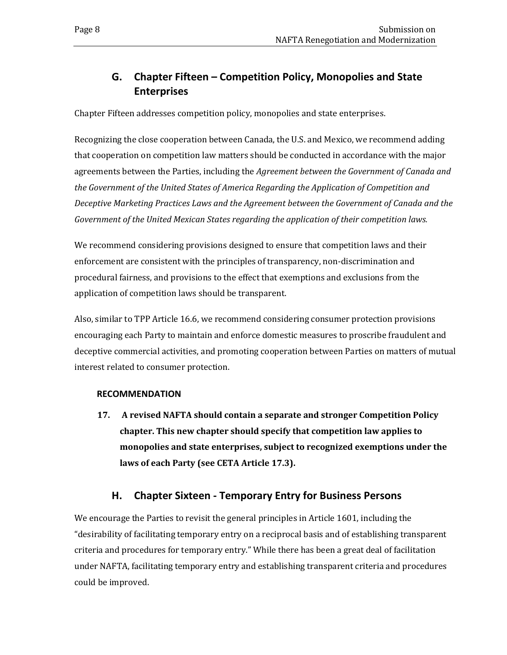# <span id="page-11-0"></span>**G. Chapter Fifteen – Competition Policy, Monopolies and State Enterprises**

Chapter Fifteen addresses competition policy, monopolies and state enterprises.

Recognizing the close cooperation between Canada, the U.S. and Mexico, we recommend adding that cooperation on competition law matters should be conducted in accordance with the major agreements between the Parties, including the *Agreement between the Government of Canada and the Government of the United States of America Regarding the Application of Competition and Deceptive Marketing Practices Laws and the Agreement between the Government of Canada and the Government of the United Mexican States regarding the application of their competition laws.*

We recommend considering provisions designed to ensure that competition laws and their enforcement are consistent with the principles of transparency, non-discrimination and procedural fairness, and provisions to the effect that exemptions and exclusions from the application of competition laws should be transparent.

Also, similar to TPP Article 16.6, we recommend considering consumer protection provisions encouraging each Party to maintain and enforce domestic measures to proscribe fraudulent and deceptive commercial activities, and promoting cooperation between Parties on matters of mutual interest related to consumer protection.

#### **RECOMMENDATION**

**17. A revised NAFTA should contain a separate and stronger Competition Policy chapter. This new chapter should specify that competition law applies to monopolies and state enterprises, subject to recognized exemptions under the laws of each Party (see CETA Article 17.3).**

### **H. Chapter Sixteen - Temporary Entry for Business Persons**

<span id="page-11-1"></span>We encourage the Parties to revisit the general principles in Article 1601, including the "desirability of facilitating temporary entry on a reciprocal basis and of establishing transparent criteria and procedures for temporary entry." While there has been a great deal of facilitation under NAFTA, facilitating temporary entry and establishing transparent criteria and procedures could be improved.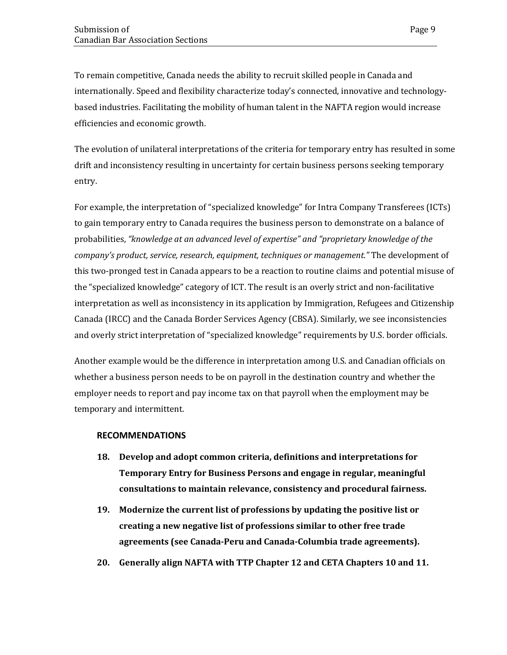To remain competitive, Canada needs the ability to recruit skilled people in Canada and internationally. Speed and flexibility characterize today's connected, innovative and technologybased industries. Facilitating the mobility of human talent in the NAFTA region would increase efficiencies and economic growth.

The evolution of unilateral interpretations of the criteria for temporary entry has resulted in some drift and inconsistency resulting in uncertainty for certain business persons seeking temporary entry.

For example, the interpretation of "specialized knowledge" for Intra Company Transferees (ICTs) to gain temporary entry to Canada requires the business person to demonstrate on a balance of probabilities, *"knowledge at an advanced level of expertise" and "proprietary knowledge of the company's product, service, research, equipment, techniques or management."* The development of this two-pronged test in Canada appears to be a reaction to routine claims and potential misuse of the "specialized knowledge" category of ICT. The result is an overly strict and non-facilitative interpretation as well as inconsistency in its application by Immigration, Refugees and Citizenship Canada (IRCC) and the Canada Border Services Agency (CBSA). Similarly, we see inconsistencies and overly strict interpretation of "specialized knowledge" requirements by U.S. border officials.

Another example would be the difference in interpretation among U.S. and Canadian officials on whether a business person needs to be on payroll in the destination country and whether the employer needs to report and pay income tax on that payroll when the employment may be temporary and intermittent.

#### **RECOMMENDATIONS**

- **18. Develop and adopt common criteria, definitions and interpretations for Temporary Entry for Business Persons and engage in regular, meaningful consultations to maintain relevance, consistency and procedural fairness.**
- **19. Modernize the current list of professions by updating the positive list or creating a new negative list of professions similar to other free trade agreements (see Canada-Peru and Canada-Columbia trade agreements).**
- **20. Generally align NAFTA with TTP Chapter 12 and CETA Chapters 10 and 11.**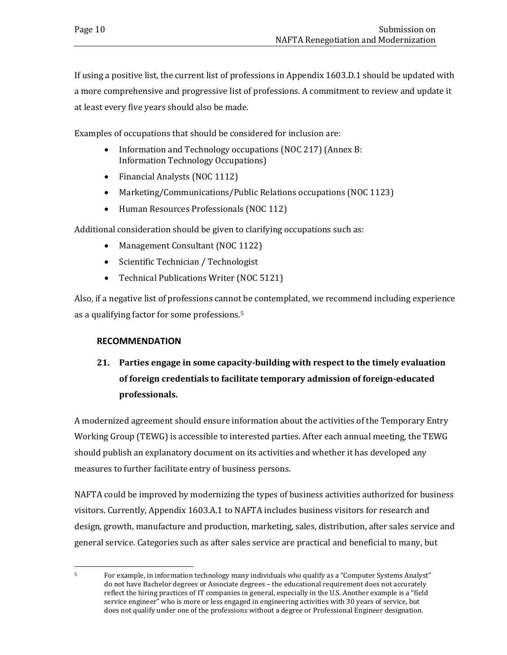If using a positive list, the current list of professions in Appendix 1603.D.1 should be updated with a more comprehensive and progressive list of professions. A commitment to review and update it at least every five years should also be made.

Examples of occupations that should be considered for inclusion are:

- Information and Technology occupations (NOC 217) (Annex B: Information Technology Occupations)
- Financial Analysts (NOC 1112)
- Marketing/Communications/Public Relations occupations (NOC 1123)
- Human Resources Professionals (NOC 112)

Additional consideration should be given to clarifying occupations such as:

- Management Consultant (NOC 1122)
- Scientific Technician / Technologist
- Technical Publications Writer (NOC 5121)

Also, if a negative list of professions cannot be contemplated, we recommend including experience as a qualifying factor for some professions.[5](#page-13-0)

#### **RECOMMENDATION**

# **21. Parties engage in some capacity-building with respect to the timely evaluation of foreign credentials to facilitate temporary admission of foreign-educated professionals.**

A modernized agreement should ensure information about the activities of the Temporary Entry Working Group (TEWG) is accessible to interested parties. After each annual meeting, the TEWG should publish an explanatory document on its activities and whether it has developed any measures to further facilitate entry of business persons.

NAFTA could be improved by modernizing the types of business activities authorized for business visitors. Currently, Appendix 1603.A.1 to NAFTA includes business visitors for research and design, growth, manufacture and production, marketing, sales, distribution, after sales service and general service. Categories such as after sales service are practical and beneficial to many, but

<span id="page-13-0"></span> <sup>5</sup> For example, in information technology many individuals who qualify as a "Computer Systems Analyst" do not have Bachelor degrees or Associate degrees – the educational requirement does not accurately reflect the hiring practices of IT companies in general, especially in the U.S. Another example is a "field service engineer" who is more or less engaged in engineering activities with 30 years of service, but does not qualify under one of the professions without a degree or Professional Engineer designation.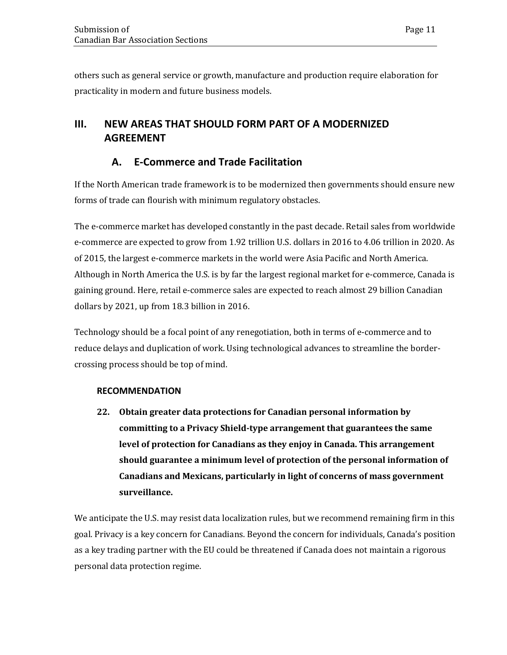others such as general service or growth, manufacture and production require elaboration for practicality in modern and future business models.

# <span id="page-14-0"></span>**III. NEW AREAS THAT SHOULD FORM PART OF A MODERNIZED AGREEMENT**

# **A. E-Commerce and Trade Facilitation**

<span id="page-14-1"></span>If the North American trade framework is to be modernized then governments should ensure new forms of trade can flourish with minimum regulatory obstacles.

The e-commerce market has developed constantly in the past decade. Retail sales from worldwide e-commerce are expected to grow from 1.92 trillion U.S. dollars in 2016 to 4.06 trillion in 2020. As of 2015, the largest e-commerce markets in the world were Asia Pacific and North America. Although in North America the U.S. is by far the largest regional market for e-commerce, Canada is gaining ground. Here, retail e-commerce sales are expected to reach almost 29 billion Canadian dollars by 2021, up from 18.3 billion in 2016.

Technology should be a focal point of any renegotiation, both in terms of e-commerce and to reduce delays and duplication of work. Using technological advances to streamline the bordercrossing process should be top of mind.

#### **RECOMMENDATION**

**22. Obtain greater data protections for Canadian personal information by committing to a Privacy Shield-type arrangement that guarantees the same level of protection for Canadians as they enjoy in Canada. This arrangement should guarantee a minimum level of protection of the personal information of Canadians and Mexicans, particularly in light of concerns of mass government surveillance.**

We anticipate the U.S. may resist data localization rules, but we recommend remaining firm in this goal. Privacy is a key concern for Canadians. Beyond the concern for individuals, Canada's position as a key trading partner with the EU could be threatened if Canada does not maintain a rigorous personal data protection regime.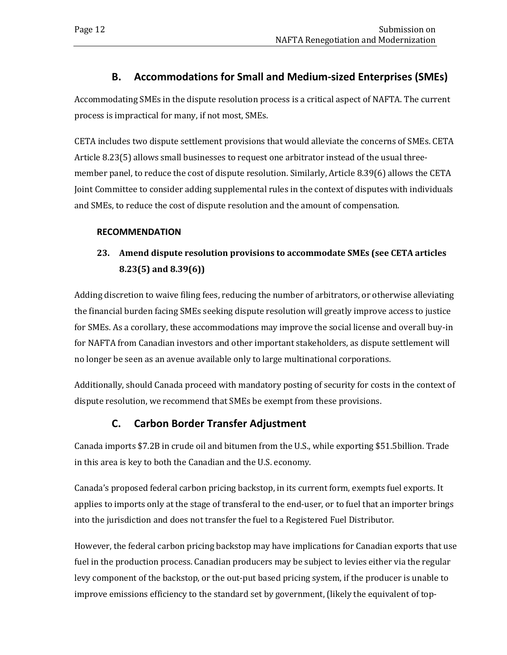### **B. Accommodations for Small and Medium-sized Enterprises (SMEs)**

<span id="page-15-0"></span>Accommodating SMEs in the dispute resolution process is a critical aspect of NAFTA. The current process is impractical for many, if not most, SMEs.

CETA includes two dispute settlement provisions that would alleviate the concerns of SMEs. CETA Article 8.23(5) allows small businesses to request one arbitrator instead of the usual threemember panel, to reduce the cost of dispute resolution. Similarly, Article 8.39(6) allows the CETA Joint Committee to consider adding supplemental rules in the context of disputes with individuals and SMEs, to reduce the cost of dispute resolution and the amount of compensation.

#### **RECOMMENDATION**

# **23. Amend dispute resolution provisions to accommodate SMEs (see CETA articles 8.23(5) and 8.39(6))**

Adding discretion to waive filing fees, reducing the number of arbitrators, or otherwise alleviating the financial burden facing SMEs seeking dispute resolution will greatly improve access to justice for SMEs. As a corollary, these accommodations may improve the social license and overall buy-in for NAFTA from Canadian investors and other important stakeholders, as dispute settlement will no longer be seen as an avenue available only to large multinational corporations.

Additionally, should Canada proceed with mandatory posting of security for costs in the context of dispute resolution, we recommend that SMEs be exempt from these provisions.

### **C. Carbon Border Transfer Adjustment**

<span id="page-15-1"></span>Canada imports \$7.2B in crude oil and bitumen from the U.S., while exporting \$51.5billion. Trade in this area is key to both the Canadian and the U.S. economy.

Canada's proposed federal carbon pricing backstop, in its current form, exempts fuel exports. It applies to imports only at the stage of transferal to the end-user, or to fuel that an importer brings into the jurisdiction and does not transfer the fuel to a Registered Fuel Distributor.

However, the federal carbon pricing backstop may have implications for Canadian exports that use fuel in the production process. Canadian producers may be subject to levies either via the regular levy component of the backstop, or the out-put based pricing system, if the producer is unable to improve emissions efficiency to the standard set by government, (likely the equivalent of top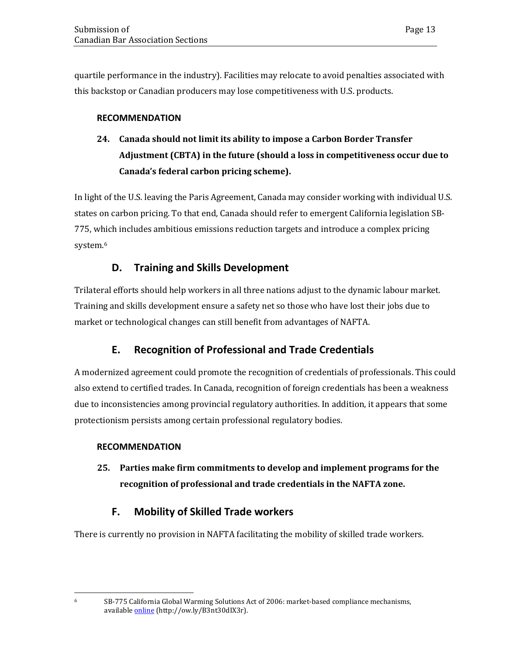quartile performance in the industry). Facilities may relocate to avoid penalties associated with this backstop or Canadian producers may lose competitiveness with U.S. products.

#### **RECOMMENDATION**

# **24. Canada should not limit its ability to impose a Carbon Border Transfer Adjustment (CBTA) in the future (should a loss in competitiveness occur due to Canada's federal carbon pricing scheme).**

In light of the U.S. leaving the Paris Agreement, Canada may consider working with individual U.S. states on carbon pricing. To that end, Canada should refer to emergent California legislation SB-775, which includes ambitious emissions reduction targets and introduce a complex pricing system.<sup>[6](#page-16-3)</sup>

### **D. Training and Skills Development**

<span id="page-16-0"></span>Trilateral efforts should help workers in all three nations adjust to the dynamic labour market. Training and skills development ensure a safety net so those who have lost their jobs due to market or technological changes can still benefit from advantages of NAFTA.

### **E. Recognition of Professional and Trade Credentials**

<span id="page-16-1"></span>A modernized agreement could promote the recognition of credentials of professionals. This could also extend to certified trades. In Canada, recognition of foreign credentials has been a weakness due to inconsistencies among provincial regulatory authorities. In addition, it appears that some protectionism persists among certain professional regulatory bodies.

#### **RECOMMENDATION**

**25. Parties make firm commitments to develop and implement programs for the recognition of professional and trade credentials in the NAFTA zone.** 

### **F. Mobility of Skilled Trade workers**

<span id="page-16-2"></span>There is currently no provision in NAFTA facilitating the mobility of skilled trade workers.

<span id="page-16-3"></span>

 $6$  SB-775 California Global Warming Solutions Act of 2006: market-based compliance mechanisms, available **online** (http://ow.ly/B3nt30dIX3r).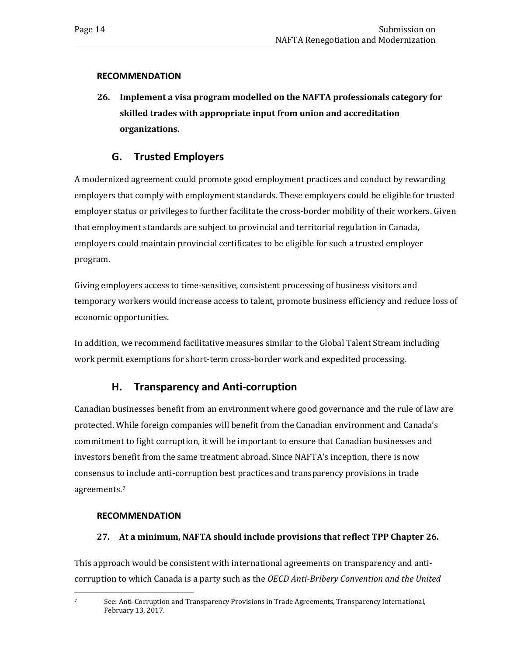#### **RECOMMENDATION**

**26. Implement a visa program modelled on the NAFTA professionals category for skilled trades with appropriate input from union and accreditation organizations.** 

### **G. Trusted Employers**

<span id="page-17-0"></span>A modernized agreement could promote good employment practices and conduct by rewarding employers that comply with employment standards. These employers could be eligible for trusted employer status or privileges to further facilitate the cross-border mobility of their workers. Given that employment standards are subject to provincial and territorial regulation in Canada, employers could maintain provincial certificates to be eligible for such a trusted employer program.

Giving employers access to time-sensitive, consistent processing of business visitors and temporary workers would increase access to talent, promote business efficiency and reduce loss of economic opportunities.

In addition, we recommend facilitative measures similar to the Global Talent Stream including work permit exemptions for short-term cross-border work and expedited processing.

### **H. Transparency and Anti-corruption**

<span id="page-17-1"></span>Canadian businesses benefit from an environment where good governance and the rule of law are protected. While foreign companies will benefit from the Canadian environment and Canada's commitment to fight corruption, it will be important to ensure that Canadian businesses and investors benefit from the same treatment abroad. Since NAFTA's inception, there is now consensus to include anti-corruption best practices and transparency provisions in trade agreements.[7](#page-17-2)

#### **RECOMMENDATION**

#### **27. At a minimum, NAFTA should include provisions that reflect TPP Chapter 26.**

This approach would be consistent with international agreements on transparency and anticorruption to which Canada is a party such as the *OECD Anti-Bribery Convention and the United* 

<span id="page-17-2"></span> <sup>7</sup> See: Anti-Corruption and Transparency Provisions in Trade Agreements, Transparency International, February 13, 2017.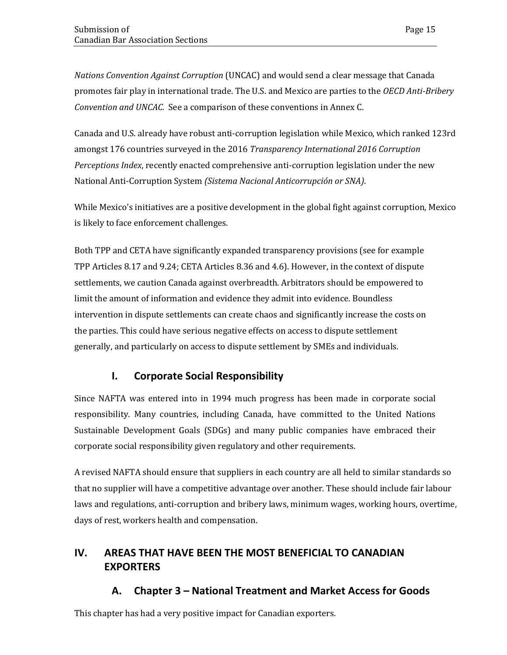*Nations Convention Against Corruption* (UNCAC) and would send a clear message that Canada promotes fair play in international trade. The U.S. and Mexico are parties to the *OECD Anti-Bribery Convention and UNCAC.* See a comparison of these conventions in Annex C.

Canada and U.S. already have robust anti-corruption legislation while Mexico, which ranked 123rd amongst 176 countries surveyed in the 2016 *Transparency International 2016 Corruption Perceptions Index*, recently enacted comprehensive anti-corruption legislation under the new National Anti-Corruption System *(Sistema Nacional Anticorrupción or SNA)*.

While Mexico's initiatives are a positive development in the global fight against corruption, Mexico is likely to face enforcement challenges.

Both TPP and CETA have significantly expanded transparency provisions (see for example TPP Articles 8.17 and 9.24; CETA Articles 8.36 and 4.6). However, in the context of dispute settlements, we caution Canada against overbreadth. Arbitrators should be empowered to limit the amount of information and evidence they admit into evidence. Boundless intervention in dispute settlements can create chaos and significantly increase the costs on the parties. This could have serious negative effects on access to dispute settlement generally, and particularly on access to dispute settlement by SMEs and individuals.

### **I. Corporate Social Responsibility**

<span id="page-18-0"></span>Since NAFTA was entered into in 1994 much progress has been made in corporate social responsibility. Many countries, including Canada, have committed to the United Nations Sustainable Development Goals (SDGs) and many public companies have embraced their corporate social responsibility given regulatory and other requirements.

A revised NAFTA should ensure that suppliers in each country are all held to similar standards so that no supplier will have a competitive advantage over another. These should include fair labour laws and regulations, anti-corruption and bribery laws, minimum wages, working hours, overtime, days of rest, workers health and compensation.

# <span id="page-18-1"></span>**IV. AREAS THAT HAVE BEEN THE MOST BENEFICIAL TO CANADIAN EXPORTERS**

### **A. Chapter 3 – National Treatment and Market Access for Goods**

<span id="page-18-2"></span>This chapter has had a very positive impact for Canadian exporters.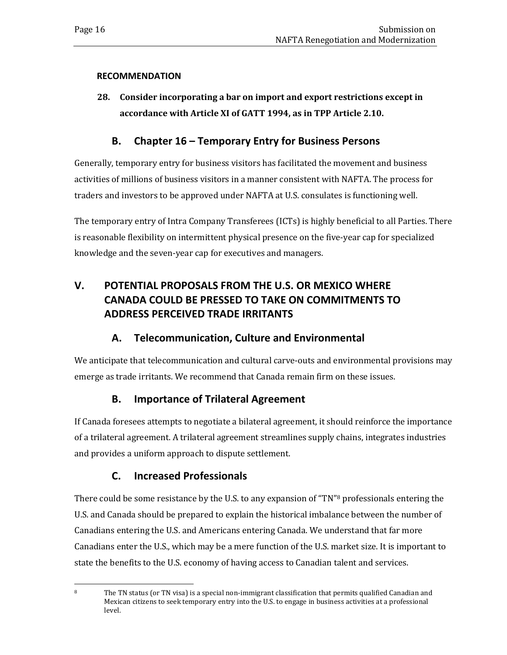#### **RECOMMENDATION**

**28. Consider incorporating a bar on import and export restrictions except in accordance with Article XI of GATT 1994, as in TPP Article 2.10.**

#### **B. Chapter 16 – Temporary Entry for Business Persons**

<span id="page-19-0"></span>Generally, temporary entry for business visitors has facilitated the movement and business activities of millions of business visitors in a manner consistent with NAFTA. The process for traders and investors to be approved under NAFTA at U.S. consulates is functioning well.

The temporary entry of Intra Company Transferees (ICTs) is highly beneficial to all Parties. There is reasonable flexibility on intermittent physical presence on the five-year cap for specialized knowledge and the seven-year cap for executives and managers.

# <span id="page-19-1"></span>**V. POTENTIAL PROPOSALS FROM THE U.S. OR MEXICO WHERE CANADA COULD BE PRESSED TO TAKE ON COMMITMENTS TO ADDRESS PERCEIVED TRADE IRRITANTS**

### **A. Telecommunication, Culture and Environmental**

<span id="page-19-2"></span>We anticipate that telecommunication and cultural carve-outs and environmental provisions may emerge as trade irritants. We recommend that Canada remain firm on these issues.

### **B. Importance of Trilateral Agreement**

<span id="page-19-3"></span>If Canada foresees attempts to negotiate a bilateral agreement, it should reinforce the importance of a trilateral agreement. A trilateral agreement streamlines supply chains, integrates industries and provides a uniform approach to dispute settlement.

### **C. Increased Professionals**

<span id="page-19-4"></span>There could be some resistance by the U.S. to any expansion of "TN"<sup>[8](#page-19-5)</sup> professionals entering the U.S. and Canada should be prepared to explain the historical imbalance between the number of Canadians entering the U.S. and Americans entering Canada. We understand that far more Canadians enter the U.S., which may be a mere function of the U.S. market size. It is important to state the benefits to the U.S. economy of having access to Canadian talent and services.

<span id="page-19-5"></span><sup>&</sup>lt;sup>8</sup> The TN status (or TN visa) is a special non-immigrant classification that permits qualified Canadian and Mexican citizens to seek temporary entry into the U.S. to engage in business activities at a professional level.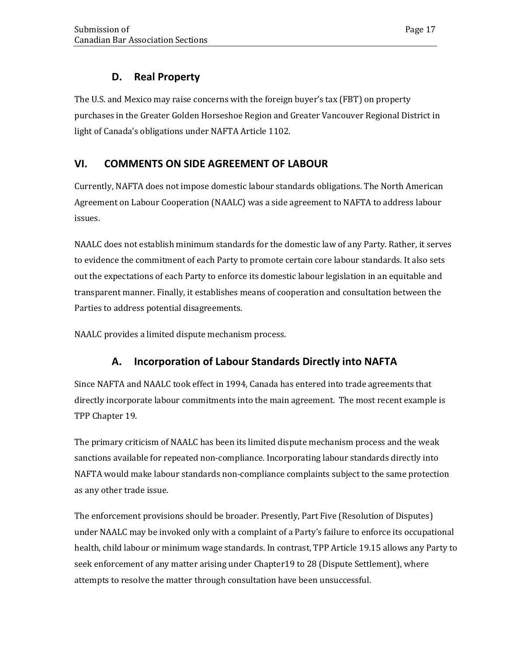### **D. Real Property**

<span id="page-20-0"></span>The U.S. and Mexico may raise concerns with the foreign buyer's tax (FBT) on property purchases in the Greater Golden Horseshoe Region and Greater Vancouver Regional District in light of Canada's obligations under NAFTA Article 1102.

# <span id="page-20-1"></span>**VI. COMMENTS ON SIDE AGREEMENT OF LABOUR**

Currently, NAFTA does not impose domestic labour standards obligations. The North American Agreement on Labour Cooperation (NAALC) was a side agreement to NAFTA to address labour issues.

NAALC does not establish minimum standards for the domestic law of any Party. Rather, it serves to evidence the commitment of each Party to promote certain core labour standards. It also sets out the expectations of each Party to enforce its domestic labour legislation in an equitable and transparent manner. Finally, it establishes means of cooperation and consultation between the Parties to address potential disagreements.

NAALC provides a limited dispute mechanism process.

# **A. Incorporation of Labour Standards Directly into NAFTA**

<span id="page-20-2"></span>Since NAFTA and NAALC took effect in 1994, Canada has entered into trade agreements that directly incorporate labour commitments into the main agreement. The most recent example is TPP Chapter 19.

The primary criticism of NAALC has been its limited dispute mechanism process and the weak sanctions available for repeated non-compliance. Incorporating labour standards directly into NAFTA would make labour standards non-compliance complaints subject to the same protection as any other trade issue.

The enforcement provisions should be broader. Presently, Part Five (Resolution of Disputes) under NAALC may be invoked only with a complaint of a Party's failure to enforce its occupational health, child labour or minimum wage standards. In contrast, TPP Article 19.15 allows any Party to seek enforcement of any matter arising under Chapter19 to 28 (Dispute Settlement), where attempts to resolve the matter through consultation have been unsuccessful.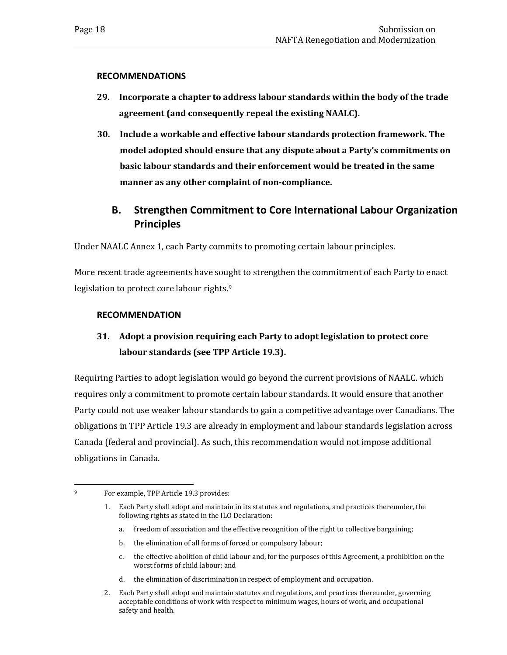#### **RECOMMENDATIONS**

- **29. Incorporate a chapter to address labour standards within the body of the trade agreement (and consequently repeal the existing NAALC).**
- **30. Include a workable and effective labour standards protection framework. The model adopted should ensure that any dispute about a Party's commitments on basic labour standards and their enforcement would be treated in the same manner as any other complaint of non-compliance.**

# <span id="page-21-0"></span>**B. Strengthen Commitment to Core International Labour Organization Principles**

Under NAALC Annex 1, each Party commits to promoting certain labour principles.

More recent trade agreements have sought to strengthen the commitment of each Party to enact legislation to protect core labour rights.<sup>[9](#page-21-1)</sup>

#### **RECOMMENDATION**

# **31. Adopt a provision requiring each Party to adopt legislation to protect core labour standards (see TPP Article 19.3).**

Requiring Parties to adopt legislation would go beyond the current provisions of NAALC. which requires only a commitment to promote certain labour standards. It would ensure that another Party could not use weaker labour standards to gain a competitive advantage over Canadians. The obligations in TPP Article 19.3 are already in employment and labour standards legislation across Canada (federal and provincial). As such, this recommendation would not impose additional obligations in Canada.

- a. freedom of association and the effective recognition of the right to collective bargaining;
- b. the elimination of all forms of forced or compulsory labour;
- c. the effective abolition of child labour and, for the purposes of this Agreement, a prohibition on the worst forms of child labour; and
- d. the elimination of discrimination in respect of employment and occupation.
- 2. Each Party shall adopt and maintain statutes and regulations, and practices thereunder, governing acceptable conditions of work with respect to minimum wages, hours of work, and occupational safety and health.

<span id="page-21-1"></span> <sup>9</sup> For example, TPP Article 19.3 provides:

<sup>1.</sup> Each Party shall adopt and maintain in its statutes and regulations, and practices thereunder, the following rights as stated in the ILO Declaration: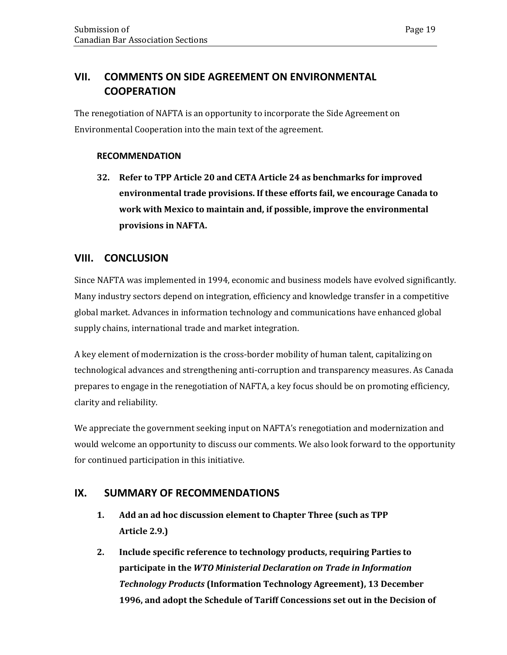### <span id="page-22-0"></span>**VII. COMMENTS ON SIDE AGREEMENT ON ENVIRONMENTAL COOPERATION**

The renegotiation of NAFTA is an opportunity to incorporate the Side Agreement on Environmental Cooperation into the main text of the agreement.

#### **RECOMMENDATION**

**32. Refer to TPP Article 20 and CETA Article 24 as benchmarks for improved environmental trade provisions. If these efforts fail, we encourage Canada to work with Mexico to maintain and, if possible, improve the environmental provisions in NAFTA.**

### <span id="page-22-1"></span>**VIII. CONCLUSION**

Since NAFTA was implemented in 1994, economic and business models have evolved significantly. Many industry sectors depend on integration, efficiency and knowledge transfer in a competitive global market. Advances in information technology and communications have enhanced global supply chains, international trade and market integration.

A key element of modernization is the cross-border mobility of human talent, capitalizing on technological advances and strengthening anti-corruption and transparency measures. As Canada prepares to engage in the renegotiation of NAFTA, a key focus should be on promoting efficiency, clarity and reliability.

We appreciate the government seeking input on NAFTA's renegotiation and modernization and would welcome an opportunity to discuss our comments. We also look forward to the opportunity for continued participation in this initiative.

### <span id="page-22-2"></span>**IX. SUMMARY OF RECOMMENDATIONS**

- **1. Add an ad hoc discussion element to Chapter Three (such as TPP Article 2.9.)**
- **2. Include specific reference to technology products, requiring Parties to participate in the** *WTO Ministerial Declaration on Trade in Information Technology Products* **(Information Technology Agreement), 13 December 1996, and adopt the Schedule of Tariff Concessions set out in the Decision of**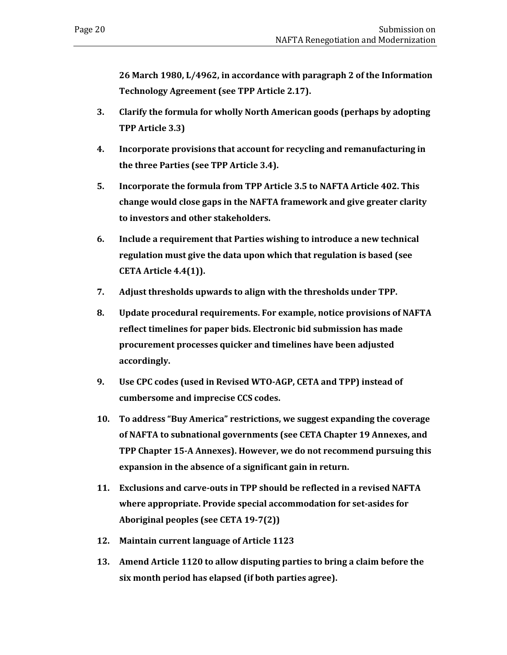**26 March 1980, L/4962, in accordance with paragraph 2 of the Information Technology Agreement (see TPP Article 2.17).**

- **3. Clarify the formula for wholly North American goods (perhaps by adopting TPP Article 3.3)**
- **4. Incorporate provisions that account for recycling and remanufacturing in the three Parties (see TPP Article 3.4).**
- **5. Incorporate the formula from TPP Article 3.5 to NAFTA Article 402. This change would close gaps in the NAFTA framework and give greater clarity to investors and other stakeholders.**
- **6. Include a requirement that Parties wishing to introduce a new technical regulation must give the data upon which that regulation is based (see CETA Article 4.4(1)).**
- **7. Adjust thresholds upwards to align with the thresholds under TPP.**
- **8. Update procedural requirements. For example, notice provisions of NAFTA reflect timelines for paper bids. Electronic bid submission has made procurement processes quicker and timelines have been adjusted accordingly.**
- **9. Use CPC codes (used in Revised WTO-AGP, CETA and TPP) instead of cumbersome and imprecise CCS codes.**
- **10. To address "Buy America" restrictions, we suggest expanding the coverage of NAFTA to subnational governments (see CETA Chapter 19 Annexes, and TPP Chapter 15-A Annexes). However, we do not recommend pursuing this expansion in the absence of a significant gain in return.**
- **11. Exclusions and carve-outs in TPP should be reflected in a revised NAFTA where appropriate. Provide special accommodation for set-asides for Aboriginal peoples (see CETA 19-7(2))**
- **12. Maintain current language of Article 1123**
- **13. Amend Article 1120 to allow disputing parties to bring a claim before the six month period has elapsed (if both parties agree).**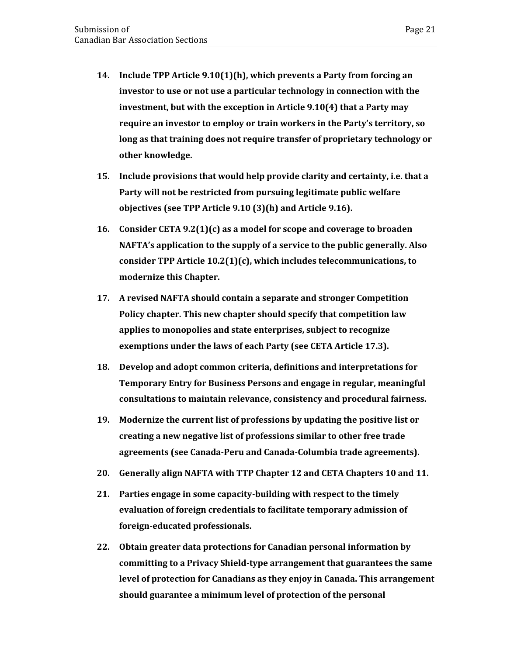- **14. Include TPP Article 9.10(1)(h), which prevents a Party from forcing an investor to use or not use a particular technology in connection with the investment, but with the exception in Article 9.10(4) that a Party may require an investor to employ or train workers in the Party's territory, so long as that training does not require transfer of proprietary technology or other knowledge.**
- **15. Include provisions that would help provide clarity and certainty, i.e. that a Party will not be restricted from pursuing legitimate public welfare objectives (see TPP Article 9.10 (3)(h) and Article 9.16).**
- **16. Consider CETA 9.2(1)(c) as a model for scope and coverage to broaden NAFTA's application to the supply of a service to the public generally. Also consider TPP Article 10.2(1)(c), which includes telecommunications, to modernize this Chapter.**
- **17. A revised NAFTA should contain a separate and stronger Competition Policy chapter. This new chapter should specify that competition law applies to monopolies and state enterprises, subject to recognize exemptions under the laws of each Party (see CETA Article 17.3).**
- **18. Develop and adopt common criteria, definitions and interpretations for Temporary Entry for Business Persons and engage in regular, meaningful consultations to maintain relevance, consistency and procedural fairness.**
- **19. Modernize the current list of professions by updating the positive list or creating a new negative list of professions similar to other free trade agreements (see Canada-Peru and Canada-Columbia trade agreements).**
- **20. Generally align NAFTA with TTP Chapter 12 and CETA Chapters 10 and 11.**
- **21. Parties engage in some capacity-building with respect to the timely evaluation of foreign credentials to facilitate temporary admission of foreign-educated professionals.**
- **22. Obtain greater data protections for Canadian personal information by committing to a Privacy Shield-type arrangement that guarantees the same level of protection for Canadians as they enjoy in Canada. This arrangement should guarantee a minimum level of protection of the personal**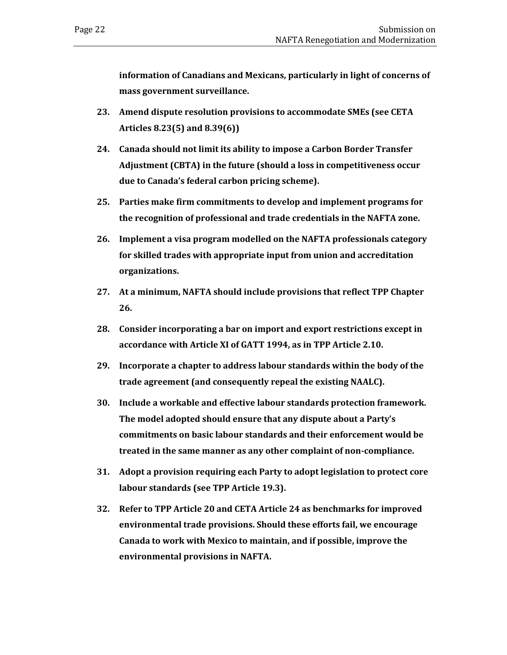**information of Canadians and Mexicans, particularly in light of concerns of mass government surveillance.**

- **23. Amend dispute resolution provisions to accommodate SMEs (see CETA Articles 8.23(5) and 8.39(6))**
- **24. Canada should not limit its ability to impose a Carbon Border Transfer Adjustment (CBTA) in the future (should a loss in competitiveness occur due to Canada's federal carbon pricing scheme).**
- **25. Parties make firm commitments to develop and implement programs for the recognition of professional and trade credentials in the NAFTA zone.**
- **26. Implement a visa program modelled on the NAFTA professionals category for skilled trades with appropriate input from union and accreditation organizations.**
- **27. At a minimum, NAFTA should include provisions that reflect TPP Chapter 26.**
- **28. Consider incorporating a bar on import and export restrictions except in accordance with Article XI of GATT 1994, as in TPP Article 2.10.**
- **29. Incorporate a chapter to address labour standards within the body of the trade agreement (and consequently repeal the existing NAALC).**
- **30. Include a workable and effective labour standards protection framework. The model adopted should ensure that any dispute about a Party's commitments on basic labour standards and their enforcement would be treated in the same manner as any other complaint of non-compliance.**
- **31. Adopt a provision requiring each Party to adopt legislation to protect core labour standards (see TPP Article 19.3).**
- **32. Refer to TPP Article 20 and CETA Article 24 as benchmarks for improved environmental trade provisions. Should these efforts fail, we encourage Canada to work with Mexico to maintain, and if possible, improve the environmental provisions in NAFTA.**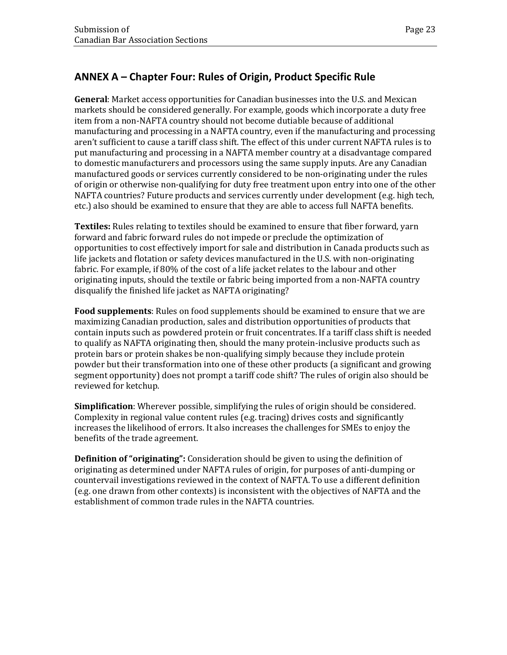# <span id="page-26-0"></span>**ANNEX A – Chapter Four: Rules of Origin, Product Specific Rule**

**General**: Market access opportunities for Canadian businesses into the U.S. and Mexican markets should be considered generally. For example, goods which incorporate a duty free item from a non-NAFTA country should not become dutiable because of additional manufacturing and processing in a NAFTA country, even if the manufacturing and processing aren't sufficient to cause a tariff class shift. The effect of this under current NAFTA rules is to put manufacturing and processing in a NAFTA member country at a disadvantage compared to domestic manufacturers and processors using the same supply inputs. Are any Canadian manufactured goods or services currently considered to be non-originating under the rules of origin or otherwise non-qualifying for duty free treatment upon entry into one of the other NAFTA countries? Future products and services currently under development (e.g. high tech, etc.) also should be examined to ensure that they are able to access full NAFTA benefits.

**Textiles:** Rules relating to textiles should be examined to ensure that fiber forward, yarn forward and fabric forward rules do not impede or preclude the optimization of opportunities to cost effectively import for sale and distribution in Canada products such as life jackets and flotation or safety devices manufactured in the U.S. with non-originating fabric. For example, if 80% of the cost of a life jacket relates to the labour and other originating inputs, should the textile or fabric being imported from a non-NAFTA country disqualify the finished life jacket as NAFTA originating?

**Food supplements**: Rules on food supplements should be examined to ensure that we are maximizing Canadian production, sales and distribution opportunities of products that contain inputs such as powdered protein or fruit concentrates. If a tariff class shift is needed to qualify as NAFTA originating then, should the many protein-inclusive products such as protein bars or protein shakes be non-qualifying simply because they include protein powder but their transformation into one of these other products (a significant and growing segment opportunity) does not prompt a tariff code shift? The rules of origin also should be reviewed for ketchup.

**Simplification**: Wherever possible, simplifying the rules of origin should be considered. Complexity in regional value content rules (e.g. tracing) drives costs and significantly increases the likelihood of errors. It also increases the challenges for SMEs to enjoy the benefits of the trade agreement.

**Definition of "originating":** Consideration should be given to using the definition of originating as determined under NAFTA rules of origin, for purposes of anti-dumping or countervail investigations reviewed in the context of NAFTA. To use a different definition (e.g. one drawn from other contexts) is inconsistent with the objectives of NAFTA and the establishment of common trade rules in the NAFTA countries.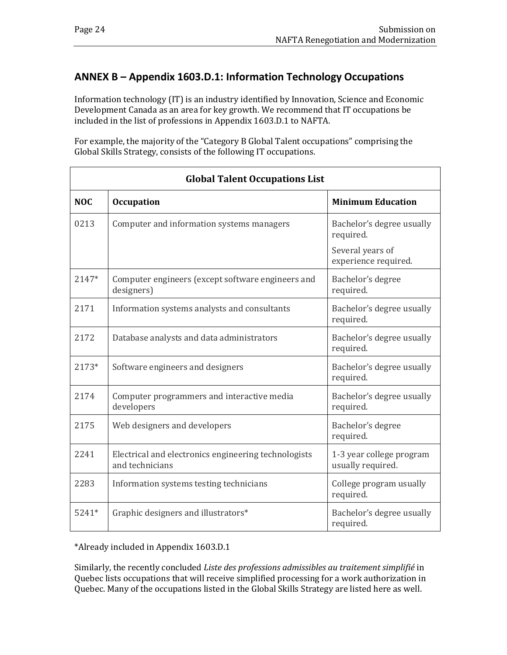## <span id="page-27-0"></span>**ANNEX B – Appendix 1603.D.1: Information Technology Occupations**

Information technology (IT) is an industry identified by Innovation, Science and Economic Development Canada as an area for key growth. We recommend that IT occupations be included in the list of professions in Appendix 1603.D.1 to NAFTA.

For example, the majority of the "Category B Global Talent occupations" comprising the Global Skills Strategy, consists of the following IT occupations.

| <b>Global Talent Occupations List</b> |                                                                         |                                               |  |
|---------------------------------------|-------------------------------------------------------------------------|-----------------------------------------------|--|
| <b>NOC</b>                            | <b>Occupation</b>                                                       | <b>Minimum Education</b>                      |  |
| 0213                                  | Computer and information systems managers                               | Bachelor's degree usually<br>required.        |  |
|                                       |                                                                         | Several years of<br>experience required.      |  |
| 2147*                                 | Computer engineers (except software engineers and<br>designers)         | Bachelor's degree<br>required.                |  |
| 2171                                  | Information systems analysts and consultants                            | Bachelor's degree usually<br>required.        |  |
| 2172                                  | Database analysts and data administrators                               | Bachelor's degree usually<br>required.        |  |
| 2173*                                 | Software engineers and designers                                        | Bachelor's degree usually<br>required.        |  |
| 2174                                  | Computer programmers and interactive media<br>developers                | Bachelor's degree usually<br>required.        |  |
| 2175                                  | Web designers and developers                                            | Bachelor's degree<br>required.                |  |
| 2241                                  | Electrical and electronics engineering technologists<br>and technicians | 1-3 year college program<br>usually required. |  |
| 2283                                  | Information systems testing technicians                                 | College program usually<br>required.          |  |
| $5241*$                               | Graphic designers and illustrators*                                     | Bachelor's degree usually<br>required.        |  |

\*Already included in Appendix 1603.D.1

Similarly, the recently concluded *Liste des professions admissibles au traitement simplifié* in Quebec lists occupations that will receive simplified processing for a work authorization in Quebec. Many of the occupations listed in the Global Skills Strategy are listed here as well.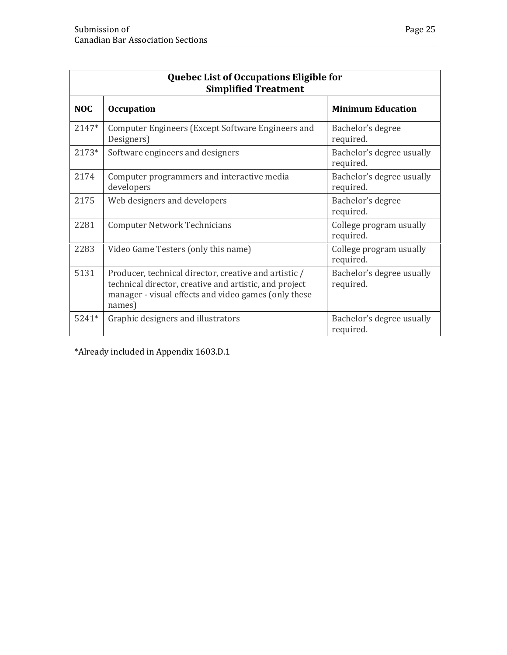| Quebec List of Occupations Eligible for<br><b>Simplified Treatment</b> |                                                                                                                                                                                   |                                        |  |
|------------------------------------------------------------------------|-----------------------------------------------------------------------------------------------------------------------------------------------------------------------------------|----------------------------------------|--|
| <b>NOC</b>                                                             | <b>Occupation</b>                                                                                                                                                                 | <b>Minimum Education</b>               |  |
| 2147*                                                                  | Computer Engineers (Except Software Engineers and<br>Designers)                                                                                                                   | Bachelor's degree<br>required.         |  |
| 2173*                                                                  | Software engineers and designers                                                                                                                                                  | Bachelor's degree usually<br>required. |  |
| 2174                                                                   | Computer programmers and interactive media<br>developers                                                                                                                          | Bachelor's degree usually<br>required. |  |
| 2175                                                                   | Web designers and developers                                                                                                                                                      | Bachelor's degree<br>required.         |  |
| 2281                                                                   | <b>Computer Network Technicians</b>                                                                                                                                               | College program usually<br>required.   |  |
| 2283                                                                   | Video Game Testers (only this name)                                                                                                                                               | College program usually<br>required.   |  |
| 5131                                                                   | Producer, technical director, creative and artistic /<br>technical director, creative and artistic, and project<br>manager - visual effects and video games (only these<br>names) | Bachelor's degree usually<br>required. |  |
| 5241*                                                                  | Graphic designers and illustrators                                                                                                                                                | Bachelor's degree usually<br>required. |  |

\*Already included in Appendix 1603.D.1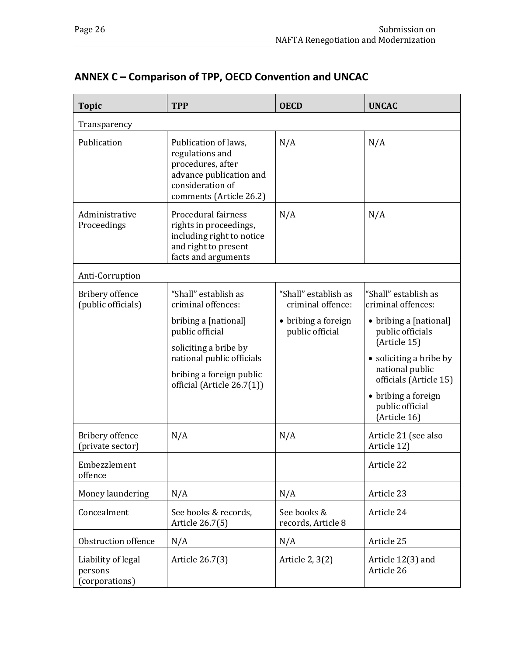# <span id="page-29-0"></span>**ANNEX C – Comparison of TPP, OECD Convention and UNCAC**

| <b>Topic</b>                                   | <b>TPP</b>                                                                                                                             | <b>OECD</b>                               | <b>UNCAC</b>                                                         |
|------------------------------------------------|----------------------------------------------------------------------------------------------------------------------------------------|-------------------------------------------|----------------------------------------------------------------------|
| Transparency                                   |                                                                                                                                        |                                           |                                                                      |
| Publication                                    | Publication of laws,<br>regulations and<br>procedures, after<br>advance publication and<br>consideration of<br>comments (Article 26.2) | N/A                                       | N/A                                                                  |
| Administrative<br>Proceedings                  | Procedural fairness<br>rights in proceedings,<br>including right to notice<br>and right to present<br>facts and arguments              | N/A                                       | N/A                                                                  |
| Anti-Corruption                                |                                                                                                                                        |                                           |                                                                      |
| Bribery offence<br>(public officials)          | "Shall" establish as<br>criminal offences:                                                                                             | "Shall" establish as<br>criminal offence: | "Shall" establish as<br>criminal offences:                           |
|                                                | bribing a [national]<br>public official                                                                                                | • bribing a foreign<br>public official    | • bribing a [national]<br>public officials<br>(Article 15)           |
|                                                | soliciting a bribe by<br>national public officials<br>bribing a foreign public<br>official (Article 26.7(1))                           |                                           | • soliciting a bribe by<br>national public<br>officials (Article 15) |
|                                                |                                                                                                                                        |                                           | • bribing a foreign<br>public official<br>(Article 16)               |
| Bribery offence<br>(private sector)            | N/A                                                                                                                                    | N/A                                       | Article 21 (see also<br>Article 12)                                  |
| Embezzlement<br>offence                        |                                                                                                                                        |                                           | Article 22                                                           |
| Money laundering                               | N/A                                                                                                                                    | N/A                                       | Article 23                                                           |
| Concealment                                    | See books & records,<br>Article 26.7(5)                                                                                                | See books &<br>records, Article 8         | Article 24                                                           |
| Obstruction offence                            | N/A                                                                                                                                    | N/A                                       | Article 25                                                           |
| Liability of legal<br>persons<br>corporations) | Article 26.7(3)                                                                                                                        | Article 2, 3(2)                           | Article 12(3) and<br>Article 26                                      |